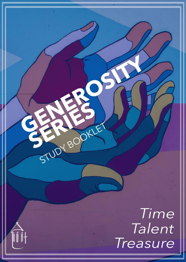Time St Mark's Gillingham :dSU

STUDIED ONE

íî î+

1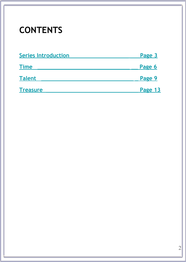### **CONTENTS**

| <b>Series Introduction</b> | Page 3  |
|----------------------------|---------|
| <b>Time</b>                | Page 6  |
| <b>Talent</b>              | Page 9  |
| <b>Treasure</b>            | Page 13 |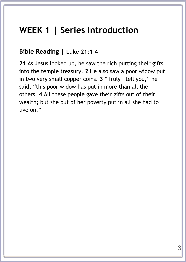### <span id="page-2-0"></span>**WEEK 1 | Series Introduction**

### **Bible Reading | Luke 21:1-4**

**21** As Jesus looked up, he saw the rich putting their gifts into the temple treasury. **2** He also saw a poor widow put in two very small copper coins. **3** "Truly I tell you," he said, "this poor widow has put in more than all the others. **4** All these people gave their gifts out of their wealth; but she out of her poverty put in all she had to live on."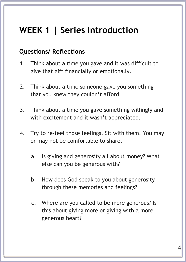# **WEEK 1 | Series Introduction**

### **Questions/ Reflections**

- 1. Think about a time you gave and it was difficult to give that gift financially or emotionally.
- 2. Think about a time someone gave you something that you knew they couldn't afford.
- 3. Think about a time you gave something willingly and with excitement and it wasn't appreciated.
- 4. Try to re-feel those feelings. Sit with them. You may or may not be comfortable to share.
	- a. Is giving and generosity all about money? What else can you be generous with?
	- b. How does God speak to you about generosity through these memories and feelings?
	- c. Where are you called to be more generous? Is this about giving more or giving with a more generous heart?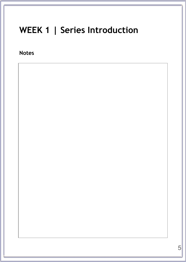### **WEEK 1 | Series Introduction**

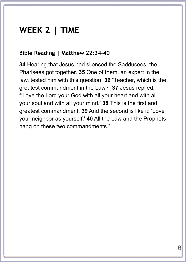### <span id="page-5-0"></span>**WEEK 2 | TIME**

#### **Bible Reading | Matthew 22:34-40**

**34** Hearing that Jesus had silenced the Sadducees, the Pharisees got together. **35** One of them, an expert in the law, tested him with this question: **36** "Teacher, which is the greatest commandment in the Law?" **37** Jesus replied: "'Love the Lord your God with all your heart and with all your soul and with all your mind.' **38** This is the first and greatest commandment. **39** And the second is like it: 'Love your neighbor as yourself.' **40** All the Law and the Prophets hang on these two commandments."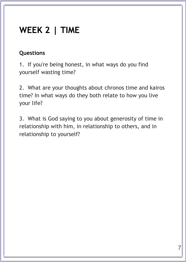## **WEEK 2 | TIME**

### **Questions**

1. If you're being honest, in what ways do you find yourself wasting time?

2. What are your thoughts about chronos time and kairos time? In what ways do they both relate to how you live your life?

3. What is God saying to you about generosity of time in relationship with him, in relationship to others, and in relationship to yourself?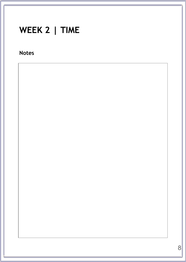# **WEEK 2 | TIME**

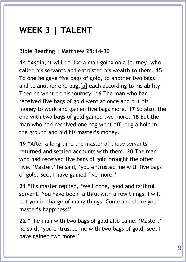#### <span id="page-8-0"></span>**Bible Reading | Matthew 25:14-30**

**14** "Again, it will be like a man going on a journey, who called his servants and entrusted his wealth to them. **15** To one he gave five bags of gold, to another two bags, and to another one bag,  $[a]$  each according to his ability. Then he went on his journey. **16** The man who had received five bags of gold went at once and put his money to work and gained five bags more. **17** So also, the one with two bags of gold gained two more. **18** But the man who had received one bag went off, dug a hole in the ground and hid his master's money.

**19** "After a long time the master of those servants returned and settled accounts with them. **20** The man who had received five bags of gold brought the other five. 'Master,' he said, 'you entrusted me with five bags of gold. See, I have gained five more.'

**21** "His master replied, 'Well done, good and faithful servant! You have been faithful with a few things; I will put you in charge of many things. Come and share your master's happiness!'

**22** "The man with two bags of gold also came. 'Master,' he said, 'you entrusted me with two bags of gold; see, I have gained two more.'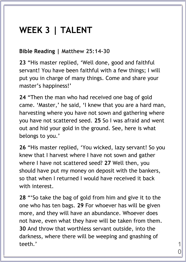#### **Bible Reading | Matthew 25:14-30**

**23** "His master replied, 'Well done, good and faithful servant! You have been faithful with a few things; I will put you in charge of many things. Come and share your master's happiness!'

**24** "Then the man who had received one bag of gold came. 'Master,' he said, 'I knew that you are a hard man, harvesting where you have not sown and gathering where you have not scattered seed. **25** So I was afraid and went out and hid your gold in the ground. See, here is what belongs to you.'

**26** "His master replied, 'You wicked, lazy servant! So you knew that I harvest where I have not sown and gather where I have not scattered seed? **27** Well then, you should have put my money on deposit with the bankers, so that when I returned I would have received it back with interest.

**28** "'So take the bag of gold from him and give it to the one who has ten bags. **29** For whoever has will be given more, and they will have an abundance. Whoever does not have, even what they have will be taken from them. **30** And throw that worthless servant outside, into the darkness, where there will be weeping and gnashing of  $\text{teeth.'}$  1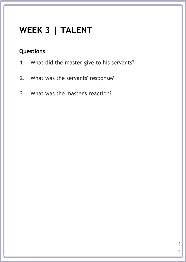### **Questions**

- 1. What did the master give to his servants?
- 2. What was the servants' response?
- 3. What was the master's reaction?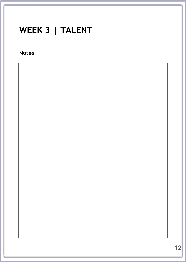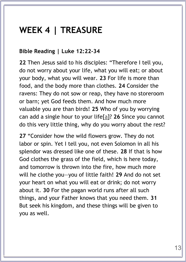### <span id="page-12-0"></span>**WEEK 4 | TREASURE**

#### **Bible Reading | Luke 12:22-34**

**22** Then Jesus said to his disciples: "Therefore I tell you, do not worry about your life, what you will eat; or about your body, what you will wear. **23** For life is more than food, and the body more than clothes. **24** Consider the ravens: They do not sow or reap, they have no storeroom or barn; yet God feeds them. And how much more valuable you are than birds! **25** Who of you by worrying can add a single hour to your life[\[a\]](https://www.biblegateway.com/passage/?search=Luke+12%3A22-34&version=NIV#fen-NIV-25485a)? **26** Since you cannot do this very little thing, why do you worry about the rest?

**27** "Consider how the wild flowers grow. They do not labor or spin. Yet I tell you, not even Solomon in all his splendor was dressed like one of these. **28** If that is how God clothes the grass of the field, which is here today, and tomorrow is thrown into the fire, how much more will he clothe you—you of little faith! **29** And do not set your heart on what you will eat or drink; do not worry about it. **30** For the pagan world runs after all such things, and your Father knows that you need them. **31** But seek his kingdom, and these things will be given to you as well.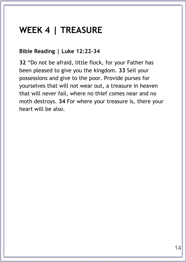### **WEEK 4 | TREASURE**

#### **Bible Reading | Luke 12:22-34**

**32** "Do not be afraid, little flock, for your Father has been pleased to give you the kingdom. **33** Sell your possessions and give to the poor. Provide purses for yourselves that will not wear out, a treasure in heaven that will never fail, where no thief comes near and no moth destroys. **34** For where your treasure is, there your heart will be also.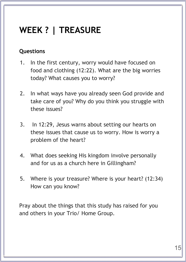# **WEEK ? | TREASURE**

#### **Questions**

- 1. In the first century, worry would have focused on food and clothing (12:22). What are the big worries today? What causes you to worry?
- 2. In what ways have you already seen God provide and take care of you? Why do you think you struggle with these issues?
- 3. In 12:29, Jesus warns about setting our hearts on these issues that cause us to worry. How is worry a problem of the heart?
- 4. What does seeking His kingdom involve personally and for us as a church here in Gillingham?
- 5. Where is your treasure? Where is your heart? (12:34) How can you know?

Pray about the things that this study has raised for you and others in your Trio/ Home Group.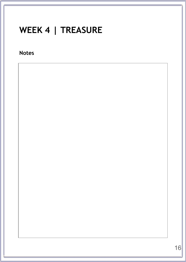# WEEK 4 | TREASURE